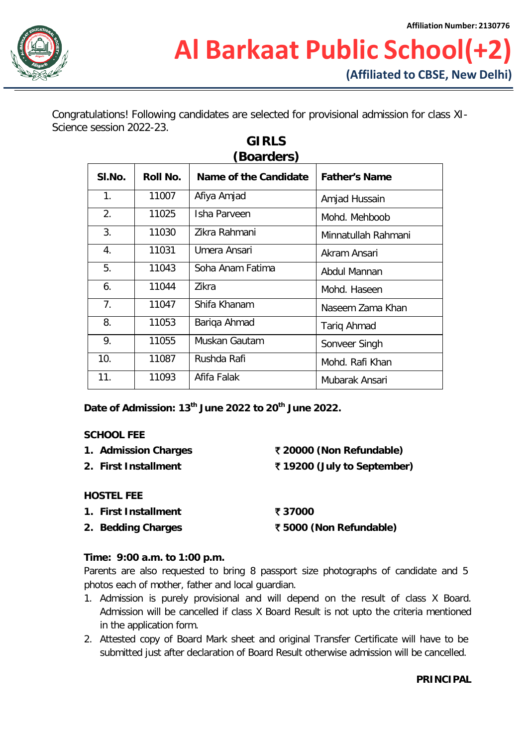

Congratulations! Following candidates are selected for provisional admission for class XI-Science session 2022-23.

| buarders) |          |                       |                      |  |  |
|-----------|----------|-----------------------|----------------------|--|--|
| SI.No.    | Roll No. | Name of the Candidate | <b>Father's Name</b> |  |  |
| 1.        | 11007    | Afiya Amjad           | Amjad Hussain        |  |  |
| 2.        | 11025    | Isha Parveen          | Mohd. Mehboob        |  |  |
| 3.        | 11030    | Zikra Rahmani         | Minnatullah Rahmani  |  |  |
| 4.        | 11031    | Umera Ansari          | Akram Ansari         |  |  |
| 5.        | 11043    | Soha Anam Fatima      | Abdul Mannan         |  |  |
| 6.        | 11044    | 7ikra                 | Mohd. Haseen         |  |  |
| 7.        | 11047    | Shifa Khanam          | Naseem Zama Khan     |  |  |
| 8.        | 11053    | Bariqa Ahmad          | Tariq Ahmad          |  |  |
| 9.        | 11055    | Muskan Gautam         | Sonveer Singh        |  |  |
| 10.       | 11087    | Rushda Rafi           | Mohd. Rafi Khan      |  |  |
| 11.       | 11093    | Afifa Falak           | Mubarak Ansari       |  |  |

# **GIRLS (Boarders)**

**Date of Admission: 13th June 2022 to 20th June 2022.**

# **SCHOOL FEE**

- **1. Admission Charges** ` **20000 (Non Refundable)**
- 

**2. First Installment** ` **19200 (July to September)**

# **HOSTEL FEE**

- **1. First Installment** ` **37000**
- **2. Bedding Charges** ` **5000 (Non Refundable)**

# **Time: 9:00 a.m. to 1:00 p.m.**

Parents are also requested to bring 8 passport size photographs of candidate and 5 photos each of mother, father and local guardian.

- 1. Admission is purely provisional and will depend on the result of class X Board. Admission will be cancelled if class X Board Result is not upto the criteria mentioned in the application form.
- 2. Attested copy of Board Mark sheet and original Transfer Certificate will have to be submitted just after declaration of Board Result otherwise admission will be cancelled.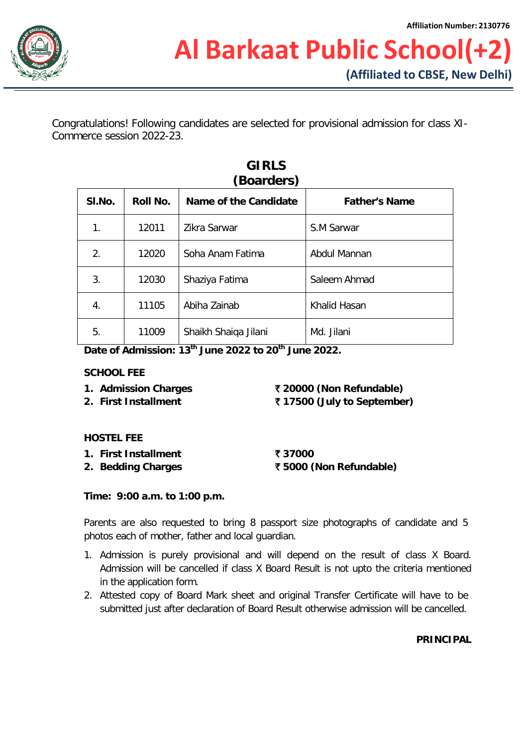

Congratulations! Following candidates are selected for provisional admission for class XI-Commerce session 2022-23.

| SI.No. | Roll No. | Name of the Candidate | <b>Father's Name</b> |
|--------|----------|-----------------------|----------------------|
| 1.     | 12011    | Zikra Sarwar          | S.M Sarwar           |
| 2.     | 12020    | Soha Anam Fatima      | Abdul Mannan         |
| 3.     | 12030    | Shaziya Fatima        | Saleem Ahmad         |
| 4.     | 11105    | Abiha Zainab          | Khalid Hasan         |
| 5.     | 11009    | Shaikh Shaiqa Jilani  | Md. Jilani           |

# **GIRLS**

**Date of Admission: 13th June 2022 to 20th June 2022.**

#### **SCHOOL FEE**

- 
- **2. First Installment** ` **17500 (July to September)**

**1. Admission Charges** ` **20000 (Non Refundable)**

# **HOSTEL FEE**

- **1. First Installment** ` **37000**
- 

**2. Bedding Charges** ` **5000 (Non Refundable)**

# **Time: 9:00 a.m. to 1:00 p.m.**

Parents are also requested to bring 8 passport size photographs of candidate and 5 photos each of mother, father and local guardian.

- 1. Admission is purely provisional and will depend on the result of class X Board. Admission will be cancelled if class X Board Result is not upto the criteria mentioned in the application form.
- 2. Attested copy of Board Mark sheet and original Transfer Certificate will have to be submitted just after declaration of Board Result otherwise admission will be cancelled.

**PRINCIPAL**